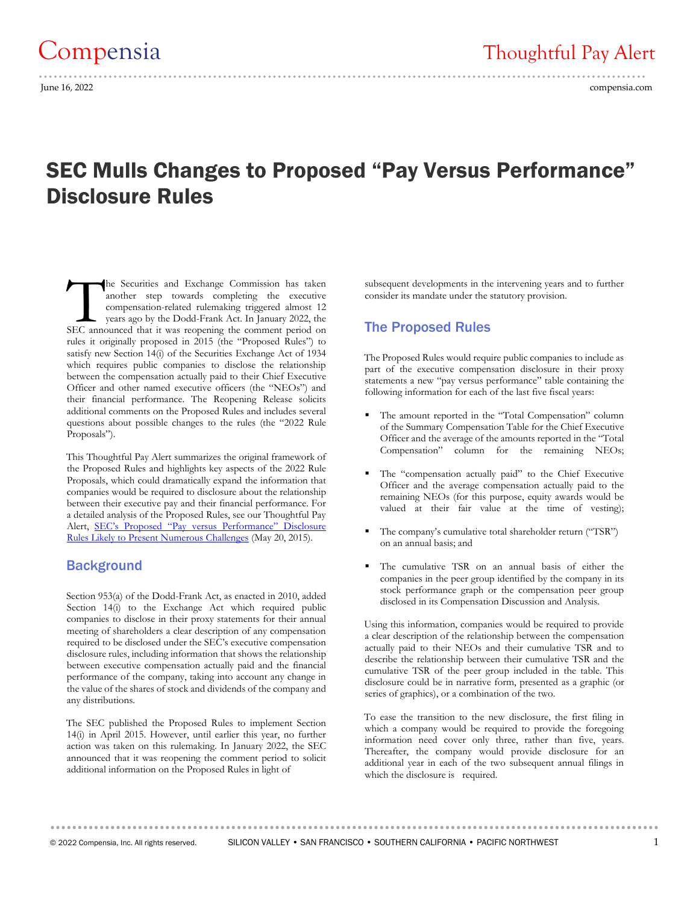# SEC Mulls Changes to Proposed "Pay Versus Performance" Disclosure Rules

he Securities and Exchange Commission has taken another step towards completing the executive compensation-related rulemaking triggered almost 12 years ago by the Dodd-Frank Act. In January 2022, the The Securities and Exchange Commission has taken<br>another step towards completing the executive<br>compensation-related rulemaking triggered almost 12<br>years ago by the Dodd-Frank Act. In January 2022, the<br>SEC announced that it rules it originally proposed in 2015 (the "Proposed Rules") to satisfy new Section 14(i) of the Securities Exchange Act of 1934 which requires public companies to disclose the relationship between the compensation actually paid to their Chief Executive Officer and other named executive officers (the "NEOs") and their financial performance. The Reopening Release solicits additional comments on the Proposed Rules and includes several questions about possible changes to the rules (the "2022 Rule Proposals").

This Thoughtful Pay Alert summarizes the original framework of the Proposed Rules and highlights key aspects of the 2022 Rule Proposals, which could dramatically expand the information that companies would be required to disclosure about the relationship between their executive pay and their financial performance. For a detailed analysis of the Proposed Rules, see our Thoughtful Pay Alert, [SEC's Proposed "Pay versus Performance" Disclosure](https://compensia.com/secs-proposed-pay-versus-performance-disclosure-rules-likely-to-present-numerous-challenges/)  [Rules Likely to Present Numerous Challenges](https://compensia.com/secs-proposed-pay-versus-performance-disclosure-rules-likely-to-present-numerous-challenges/) (May 20, 2015).

#### **Background**

Section 953(a) of the Dodd-Frank Act, as enacted in 2010, added Section 14(i) to the Exchange Act which required public companies to disclose in their proxy statements for their annual meeting of shareholders a clear description of any compensation required to be disclosed under the SEC's executive compensation disclosure rules, including information that shows the relationship between executive compensation actually paid and the financial performance of the company, taking into account any change in the value of the shares of stock and dividends of the company and any distributions.

The SEC published the Proposed Rules to implement Section 14(i) in April 2015. However, until earlier this year, no further action was taken on this rulemaking. In January 2022, the SEC announced that it was reopening the comment period to solicit additional information on the Proposed Rules in light of

subsequent developments in the intervening years and to further consider its mandate under the statutory provision.

## The Proposed Rules

The Proposed Rules would require public companies to include as part of the executive compensation disclosure in their proxy statements a new "pay versus performance" table containing the following information for each of the last five fiscal years:

- The amount reported in the "Total Compensation" column of the Summary Compensation Table for the Chief Executive Officer and the average of the amounts reported in the "Total Compensation" column for the remaining NEOs;
- The "compensation actually paid" to the Chief Executive Officer and the average compensation actually paid to the remaining NEOs (for this purpose, equity awards would be valued at their fair value at the time of vesting);
- The company's cumulative total shareholder return ("TSR") on an annual basis; and
- The cumulative TSR on an annual basis of either the companies in the peer group identified by the company in its stock performance graph or the compensation peer group disclosed in its Compensation Discussion and Analysis.

Using this information, companies would be required to provide a clear description of the relationship between the compensation actually paid to their NEOs and their cumulative TSR and to describe the relationship between their cumulative TSR and the cumulative TSR of the peer group included in the table. This disclosure could be in narrative form, presented as a graphic (or series of graphics), or a combination of the two.

To ease the transition to the new disclosure, the first filing in which a company would be required to provide the foregoing information need cover only three, rather than five, years. Thereafter, the company would provide disclosure for an additional year in each of the two subsequent annual filings in which the disclosure is required.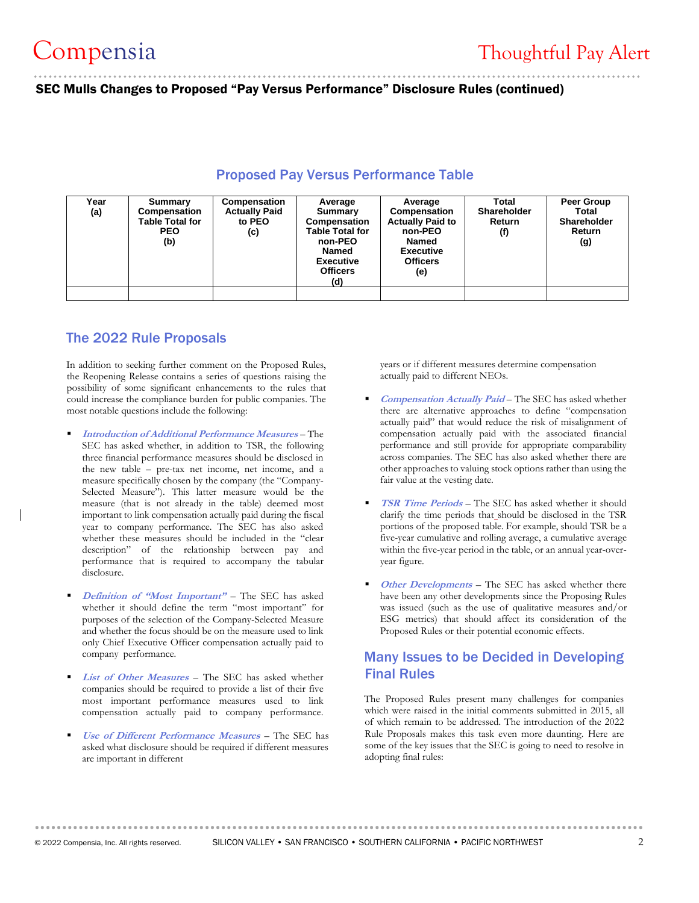SEC Mulls Changes to Proposed "Pay Versus Performance" Disclosure Rules (continued)

| Year<br>(a) | Summary<br>Compensation<br><b>Table Total for</b><br><b>PEO</b><br>(b) | <b>Compensation</b><br><b>Actually Paid</b><br>to PEO<br>(c) | Average<br>Summary<br>Compensation<br><b>Table Total for</b><br>non-PEO<br><b>Named</b><br><b>Executive</b><br><b>Officers</b><br>(d) | Average<br>Compensation<br><b>Actually Paid to</b><br>non-PEO<br><b>Named</b><br><b>Executive</b><br><b>Officers</b><br>(e) | Total<br><b>Shareholder</b><br>Return<br>(f) | Peer Group<br>Total<br><b>Shareholder</b><br>Return<br>(g) |
|-------------|------------------------------------------------------------------------|--------------------------------------------------------------|---------------------------------------------------------------------------------------------------------------------------------------|-----------------------------------------------------------------------------------------------------------------------------|----------------------------------------------|------------------------------------------------------------|
|             |                                                                        |                                                              |                                                                                                                                       |                                                                                                                             |                                              |                                                            |

### Proposed Pay Versus Performance Table

# The 2022 Rule Proposals

In addition to seeking further comment on the Proposed Rules, the Reopening Release contains a series of questions raising the possibility of some significant enhancements to the rules that could increase the compliance burden for public companies. The most notable questions include the following:

- **Introduction of Additional Performance Measures** The SEC has asked whether, in addition to TSR, the following three financial performance measures should be disclosed in the new table – pre-tax net income, net income, and a measure specifically chosen by the company (the "Company-Selected Measure"). This latter measure would be the measure (that is not already in the table) deemed most important to link compensation actually paid during the fiscal year to company performance. The SEC has also asked whether these measures should be included in the "clear description" of the relationship between pay and performance that is required to accompany the tabular disclosure.
- Definition of "Most Important" The SEC has asked whether it should define the term "most important" for purposes of the selection of the Company-Selected Measure and whether the focus should be on the measure used to link only Chief Executive Officer compensation actually paid to company performance.
- **List of Other Measures** The SEC has asked whether companies should be required to provide a list of their five most important performance measures used to link compensation actually paid to company performance.
- *Use of Different Performance Measures* The SEC has asked what disclosure should be required if different measures are important in different

years or if different measures determine compensation actually paid to different NEOs.

- **Compensation Actually Paid** The SEC has asked whether there are alternative approaches to define "compensation actually paid" that would reduce the risk of misalignment of compensation actually paid with the associated financial performance and still provide for appropriate comparability across companies. The SEC has also asked whether there are other approaches to valuing stock options rather than using the fair value at the vesting date.
- **TSR Time Periods** The SEC has asked whether it should clarify the time periods that should be disclosed in the TSR portions of the proposed table. For example, should TSR be a five-year cumulative and rolling average, a cumulative average within the five-year period in the table, or an annual year-overyear figure.
- Other Developments The SEC has asked whether there have been any other developments since the Proposing Rules was issued (such as the use of qualitative measures and/or ESG metrics) that should affect its consideration of the Proposed Rules or their potential economic effects.

# Many Issues to be Decided in Developing Final Rules

The Proposed Rules present many challenges for companies which were raised in the initial comments submitted in 2015, all of which remain to be addressed. The introduction of the 2022 Rule Proposals makes this task even more daunting. Here are some of the key issues that the SEC is going to need to resolve in adopting final rules: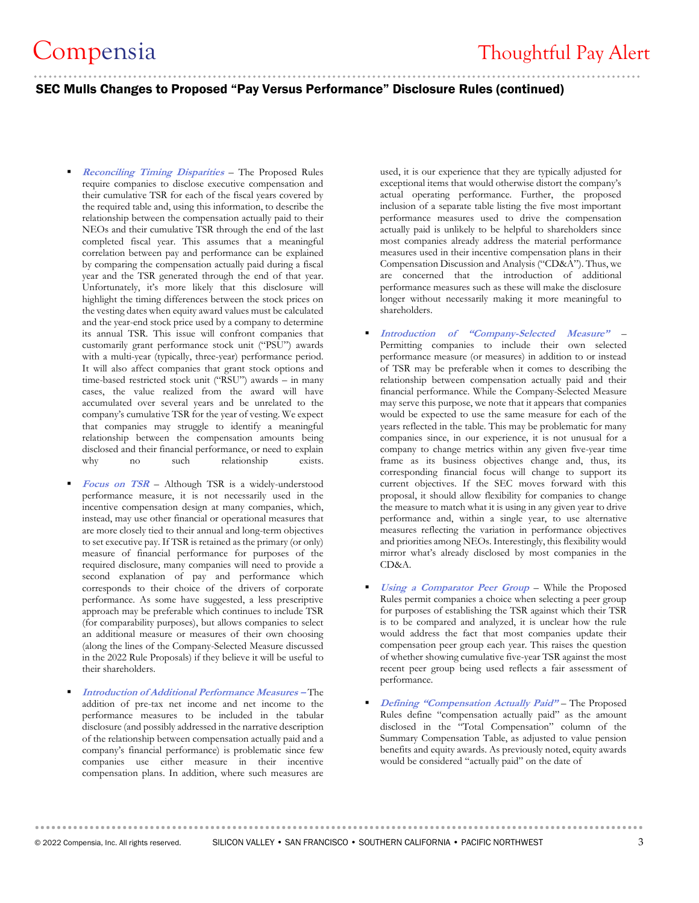# .......................................................................................................................... SEC Mulls Changes to Proposed "Pay Versus Performance" Disclosure Rules (continued)

- **Reconciling Timing Disparities** The Proposed Rules require companies to disclose executive compensation and their cumulative TSR for each of the fiscal years covered by the required table and, using this information, to describe the relationship between the compensation actually paid to their NEOs and their cumulative TSR through the end of the last completed fiscal year. This assumes that a meaningful correlation between pay and performance can be explained by comparing the compensation actually paid during a fiscal year and the TSR generated through the end of that year. Unfortunately, it's more likely that this disclosure will highlight the timing differences between the stock prices on the vesting dates when equity award values must be calculated and the year-end stock price used by a company to determine its annual TSR. This issue will confront companies that customarily grant performance stock unit ("PSU") awards with a multi-year (typically, three-year) performance period. It will also affect companies that grant stock options and time-based restricted stock unit ("RSU") awards – in many cases, the value realized from the award will have accumulated over several years and be unrelated to the company's cumulative TSR for the year of vesting. We expect that companies may struggle to identify a meaningful relationship between the compensation amounts being disclosed and their financial performance, or need to explain why no such relationship exists.
- **Focus on TSR** Although TSR is a widely-understood performance measure, it is not necessarily used in the incentive compensation design at many companies, which, instead, may use other financial or operational measures that are more closely tied to their annual and long-term objectives to set executive pay. If TSR is retained as the primary (or only) measure of financial performance for purposes of the required disclosure, many companies will need to provide a second explanation of pay and performance which corresponds to their choice of the drivers of corporate performance. As some have suggested, a less prescriptive approach may be preferable which continues to include TSR (for comparability purposes), but allows companies to select an additional measure or measures of their own choosing (along the lines of the Company-Selected Measure discussed in the 2022 Rule Proposals) if they believe it will be useful to their shareholders.
- **Introduction of Additional Performance Measures –** The addition of pre-tax net income and net income to the performance measures to be included in the tabular disclosure (and possibly addressed in the narrative description of the relationship between compensation actually paid and a company's financial performance) is problematic since few companies use either measure in their incentive compensation plans. In addition, where such measures are

used, it is our experience that they are typically adjusted for exceptional items that would otherwise distort the company's actual operating performance. Further, the proposed inclusion of a separate table listing the five most important performance measures used to drive the compensation actually paid is unlikely to be helpful to shareholders since most companies already address the material performance measures used in their incentive compensation plans in their Compensation Discussion and Analysis ("CD&A"). Thus, we are concerned that the introduction of additional performance measures such as these will make the disclosure longer without necessarily making it more meaningful to shareholders.

- **Introduction of "Company-Selected Measure"** Permitting companies to include their own selected performance measure (or measures) in addition to or instead of TSR may be preferable when it comes to describing the relationship between compensation actually paid and their financial performance. While the Company-Selected Measure may serve this purpose, we note that it appears that companies would be expected to use the same measure for each of the years reflected in the table. This may be problematic for many companies since, in our experience, it is not unusual for a company to change metrics within any given five-year time frame as its business objectives change and, thus, its corresponding financial focus will change to support its current objectives. If the SEC moves forward with this proposal, it should allow flexibility for companies to change the measure to match what it is using in any given year to drive performance and, within a single year, to use alternative measures reflecting the variation in performance objectives and priorities among NEOs. Interestingly, this flexibility would mirror what's already disclosed by most companies in the CD&A.
- Using a Comparator Peer Group While the Proposed Rules permit companies a choice when selecting a peer group for purposes of establishing the TSR against which their TSR is to be compared and analyzed, it is unclear how the rule would address the fact that most companies update their compensation peer group each year. This raises the question of whether showing cumulative five-year TSR against the most recent peer group being used reflects a fair assessment of performance.
- Defining "Compensation Actually Paid" The Proposed Rules define "compensation actually paid" as the amount disclosed in the "Total Compensation" column of the Summary Compensation Table, as adjusted to value pension benefits and equity awards. As previously noted, equity awards would be considered "actually paid" on the date of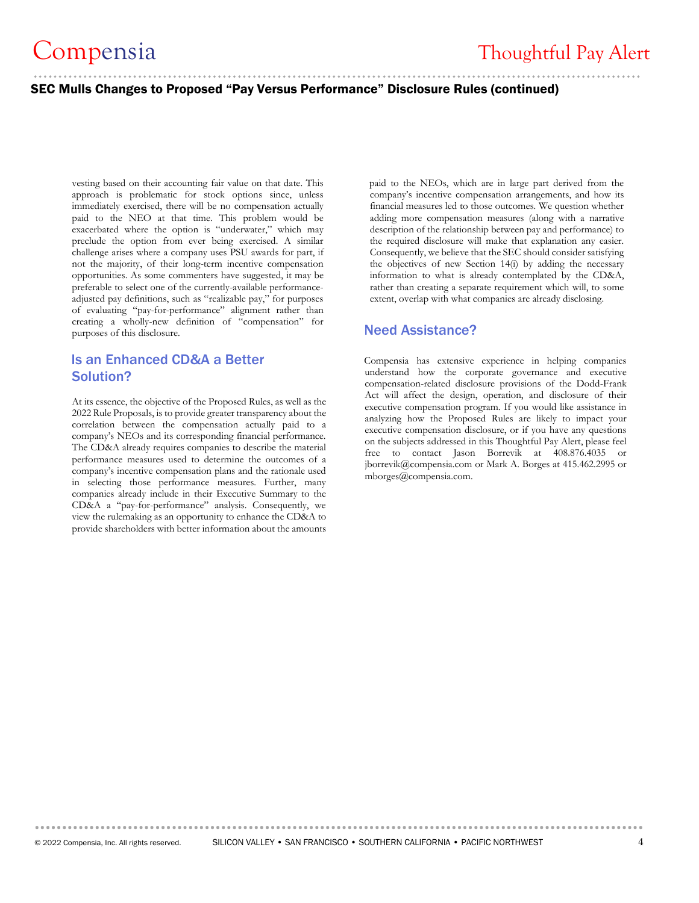#### SEC Mulls Changes to Proposed "Pay Versus Performance" Disclosure Rules (continued)

vesting based on their accounting fair value on that date. This approach is problematic for stock options since, unless immediately exercised, there will be no compensation actually paid to the NEO at that time. This problem would be exacerbated where the option is "underwater," which may preclude the option from ever being exercised. A similar challenge arises where a company uses PSU awards for part, if not the majority, of their long-term incentive compensation opportunities. As some commenters have suggested, it may be preferable to select one of the currently-available performanceadjusted pay definitions, such as "realizable pay," for purposes of evaluating "pay-for-performance" alignment rather than creating a wholly-new definition of "compensation" for purposes of this disclosure.

# Is an Enhanced CD&A a Better Solution?

At its essence, the objective of the Proposed Rules, as well as the 2022 Rule Proposals, is to provide greater transparency about the correlation between the compensation actually paid to a company's NEOs and its corresponding financial performance. The CD&A already requires companies to describe the material performance measures used to determine the outcomes of a company's incentive compensation plans and the rationale used in selecting those performance measures. Further, many companies already include in their Executive Summary to the CD&A a "pay-for-performance" analysis. Consequently, we view the rulemaking as an opportunity to enhance the CD&A to provide shareholders with better information about the amounts

paid to the NEOs, which are in large part derived from the company's incentive compensation arrangements, and how its financial measures led to those outcomes. We question whether adding more compensation measures (along with a narrative description of the relationship between pay and performance) to the required disclosure will make that explanation any easier. Consequently, we believe that the SEC should consider satisfying the objectives of new Section 14(i) by adding the necessary information to what is already contemplated by the CD&A, rather than creating a separate requirement which will, to some extent, overlap with what companies are already disclosing.

### Need Assistance?

Compensia has extensive experience in helping companies understand how the corporate governance and executive compensation-related disclosure provisions of the Dodd-Frank Act will affect the design, operation, and disclosure of their executive compensation program. If you would like assistance in analyzing how the Proposed Rules are likely to impact your executive compensation disclosure, or if you have any questions on the subjects addressed in this Thoughtful Pay Alert, please feel free to contact Jason Borrevik at 408.876.4035 or [jborrevik@compensia.com](mailto:jborrevik@compensia.com) or Mark A. Borges at 415.462.2995 or mborges@compensia.com.